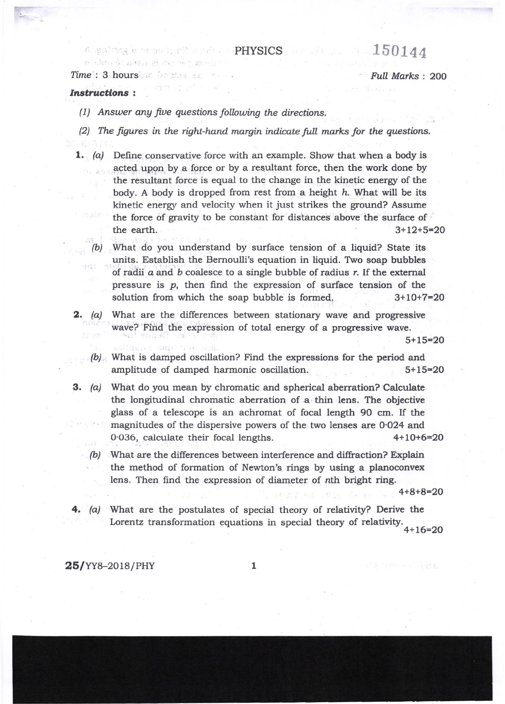## A spaining by the production of the  $\sim$  PHYSICS ( ) and ( ) and ( )  $1.50144$

Time': 3 hours of Logar second - Formal Marks : 200<br>12 : 3 hours : 10 marks : 200

## Instructions :

(1) Answer ang fiue questinns following the directions.

Waliofar<sup>a</sup> Aliye

- (2) The figures in the right-hand margin indicate full marks for the questiors.
	- **1.** (a) Define conservative force with an example. Show that when a body is acted upon by a force or by a resultant force, then the work done by the resultant force is equal to the change in the kinetic enerry of the body. A body is dropped from rest from a height h. What will be its kinetic energy and velocity when it just strikes the ground? Assume the force of gravity to be constant for distances above the surface of the earth.  $3+12+5=20$ 
		- (b) What do you understand by surface tension of a liquid? State its units. Establish the Bernoulli's equation in liquid. TWo soap bubbles of radii  $a$  and  $b$  coalesce to a single bubble of radius  $r$ . If the external pressure is p, then find the expression of surface tension of the solution from which the soap bubble is formed.  $3+10+7=20$
	- **2.** (a) What are the differences between stationary wave and progressive wave? Find the expression of total energy of a progressive wave.

- (b) What is damped oscillation? Find the expressions for the period and amplitude of damped harmonic oscillation. 5+15=20
- 3. (a) What do you mean by chromatic and spherical aberration? Calculate the longitudinal chromatic aberration of a thin lens. The objective glass of a telescope is an achromat of focal length 90 cm. If the magnitudes of the dispersive powers of the two lenses are O.O24 and  $0.036$ , calculate their focal lengths.  $4+10+6=20$ 
	- (b) What are the differences between interference and diffraction? Explain the method of formation of Newton's rings by using a planoconvex lens. Then find the expression of diameter of nth bright ring.

4+8+8=2O

4.  $(a)$  What are the postulates of special theory of relativity? Derive the Lorentz transformation equations in special theory of relativity.<br> $4+16=20$ 

 $25/\text{YY8}-2018/\text{PHY}$  1

 $5+15=20$